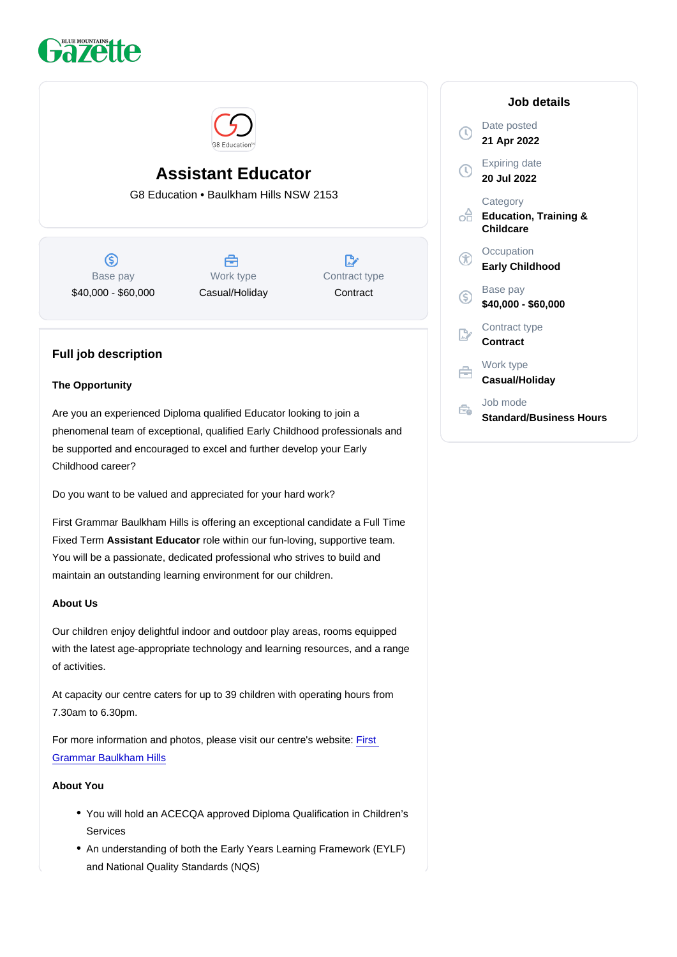# Assistant Educator

G8 Education • Baulkham Hills NSW 2153

Base pay \$40,000 - \$60,000

Work type Casual/Holiday Contract type **Contract** 

# Full job description

#### The Opportunity

Are you an experienced Diploma qualified Educator looking to join a phenomenal team of exceptional, qualified Early Childhood professionals and be supported and encouraged to excel and further develop your Early Childhood career?

Do you want to be valued and appreciated for your hard work?

First Grammar Baulkham Hills is offering an exceptional candidate a Full Time Fixed Term Assistant Educator role within our fun-loving, supportive team. You will be a passionate, dedicated professional who strives to build and maintain an outstanding learning environment for our children.

#### About Us

Our children enjoy delightful indoor and outdoor play areas, rooms equipped with the latest age-appropriate technology and learning resources, and a range of activities.

At capacity our centre caters for up to 39 children with operating hours from 7.30am to 6.30pm.

For more information and photos, please visit our centre's website: [First](https://www.firstgrammar.com.au/childcare-baulkham-hills)  [Grammar Baulkham Hills](https://www.firstgrammar.com.au/childcare-baulkham-hills)

### About You

- You will hold an ACECQA approved Diploma Qualification in Children's Services
- An understanding of both the Early Years Learning Framework (EYLF) and National Quality Standards (NQS)

#### Job details

Date posted 21 Apr 2022

Expiring date 20 Jul 2022

**Category** Education, Training & **Childcare** 

**Occupation** Early Childhood

Base pay \$40,000 - \$60,000

Contract type **Contract** 

Work type Casual/Holiday

Job mode Standard/Business Hours